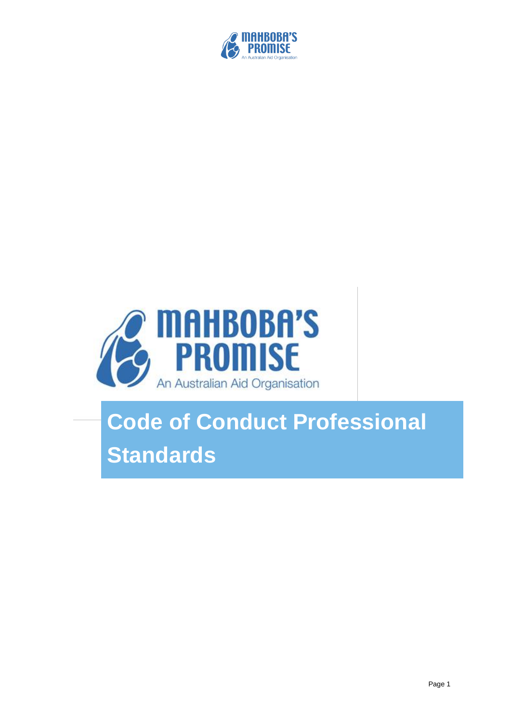



# **Code of Conduct Professional Standards**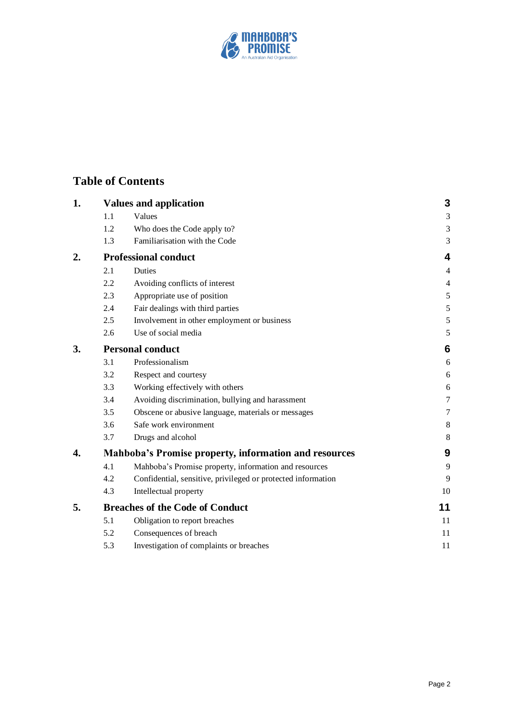

## **Table of Contents**

| 1. |                                                              | <b>Values and application</b>                                | 3              |
|----|--------------------------------------------------------------|--------------------------------------------------------------|----------------|
|    | 1.1                                                          | Values                                                       | $\mathfrak{Z}$ |
|    | 1.2                                                          | Who does the Code apply to?                                  | $\mathfrak{Z}$ |
|    | 1.3                                                          | Familiarisation with the Code                                | 3              |
| 2. | <b>Professional conduct</b>                                  |                                                              |                |
|    | 2.1                                                          | <b>Duties</b>                                                | $\overline{4}$ |
|    | 2.2                                                          | Avoiding conflicts of interest                               | $\overline{4}$ |
|    | 2.3                                                          | Appropriate use of position                                  | 5              |
|    | 2.4                                                          | Fair dealings with third parties                             | 5              |
|    | 2.5                                                          | Involvement in other employment or business                  | $\sqrt{5}$     |
|    | 2.6                                                          | Use of social media                                          | 5              |
| 3. | <b>Personal conduct</b>                                      |                                                              |                |
|    | 3.1                                                          | Professionalism                                              | 6              |
|    | 3.2                                                          | Respect and courtesy                                         | 6              |
|    | 3.3                                                          | Working effectively with others                              | 6              |
|    | 3.4                                                          | Avoiding discrimination, bullying and harassment             | 7              |
|    | 3.5                                                          | Obscene or abusive language, materials or messages           | 7              |
|    | 3.6                                                          | Safe work environment                                        | 8              |
|    | 3.7                                                          | Drugs and alcohol                                            | 8              |
| 4. | <b>Mahboba's Promise property, information and resources</b> |                                                              |                |
|    | 4.1                                                          | Mahboba's Promise property, information and resources        | 9              |
|    | 4.2                                                          | Confidential, sensitive, privileged or protected information | 9              |
|    | 4.3                                                          | Intellectual property                                        | 10             |
| 5. | <b>Breaches of the Code of Conduct</b>                       |                                                              |                |
|    | 5.1                                                          | Obligation to report breaches                                | 11             |
|    | 5.2                                                          | Consequences of breach                                       | 11             |
|    | 5.3                                                          | Investigation of complaints or breaches                      | 11             |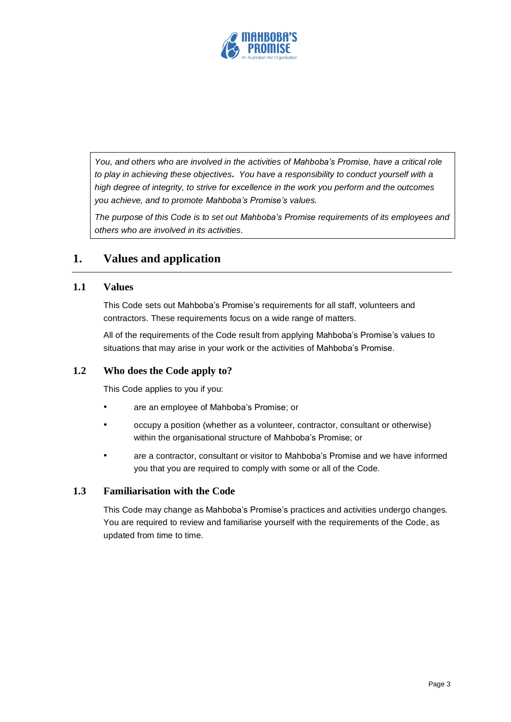

*You, and others who are involved in the activities of Mahboba's Promise, have a critical role to play in achieving these objectives. You have a responsibility to conduct yourself with a high degree of integrity, to strive for excellence in the work you perform and the outcomes you achieve, and to promote Mahboba's Promise's values.*

*The purpose of this Code is to set out Mahboba's Promise requirements of its employees and others who are involved in its activities.*

## **1. Values and application**

#### **1.1 Values**

This Code sets out Mahboba's Promise's requirements for all staff, volunteers and contractors. These requirements focus on a wide range of matters.

All of the requirements of the Code result from applying Mahboba's Promise's values to situations that may arise in your work or the activities of Mahboba's Promise.

#### **1.2 Who does the Code apply to?**

This Code applies to you if you:

- are an employee of Mahboba's Promise; or
- occupy a position (whether as a volunteer, contractor, consultant or otherwise) within the organisational structure of Mahboba's Promise; or
- are a contractor, consultant or visitor to Mahboba's Promise and we have informed you that you are required to comply with some or all of the Code.

#### **1.3 Familiarisation with the Code**

This Code may change as Mahboba's Promise's practices and activities undergo changes. You are required to review and familiarise yourself with the requirements of the Code, as updated from time to time.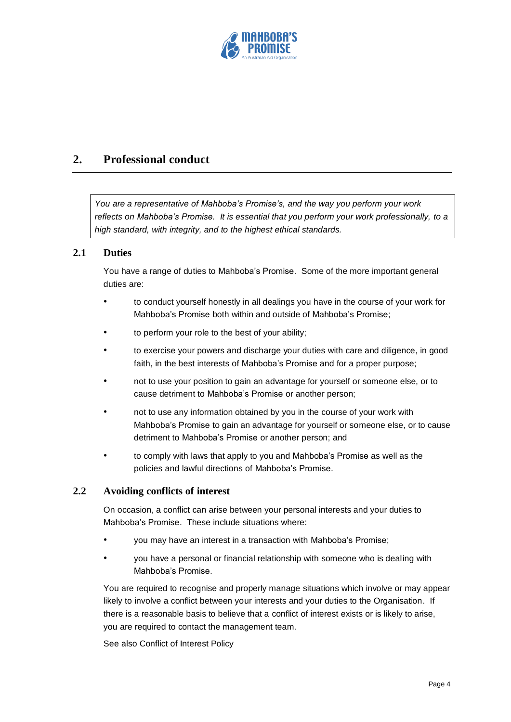

## **2. Professional conduct**

*You are a representative of Mahboba's Promise's, and the way you perform your work reflects on Mahboba's Promise. It is essential that you perform your work professionally, to a high standard, with integrity, and to the highest ethical standards.*

#### **2.1 Duties**

You have a range of duties to Mahboba's Promise. Some of the more important general duties are:

- to conduct yourself honestly in all dealings you have in the course of your work for Mahboba's Promise both within and outside of Mahboba's Promise;
- to perform your role to the best of your ability;
- to exercise your powers and discharge your duties with care and diligence, in good faith, in the best interests of Mahboba's Promise and for a proper purpose;
- not to use your position to gain an advantage for yourself or someone else, or to cause detriment to Mahboba's Promise or another person;
- not to use any information obtained by you in the course of your work with Mahboba's Promise to gain an advantage for yourself or someone else, or to cause detriment to Mahboba's Promise or another person; and
- to comply with laws that apply to you and Mahboba's Promise as well as the policies and lawful directions of Mahboba's Promise.

#### **2.2 Avoiding conflicts of interest**

On occasion, a conflict can arise between your personal interests and your duties to Mahboba's Promise. These include situations where:

- you may have an interest in a transaction with Mahboba's Promise;
- you have a personal or financial relationship with someone who is dealing with Mahboba's Promise.

You are required to recognise and properly manage situations which involve or may appear likely to involve a conflict between your interests and your duties to the Organisation. If there is a reasonable basis to believe that a conflict of interest exists or is likely to arise, you are required to contact the management team.

See also Conflict of Interest Policy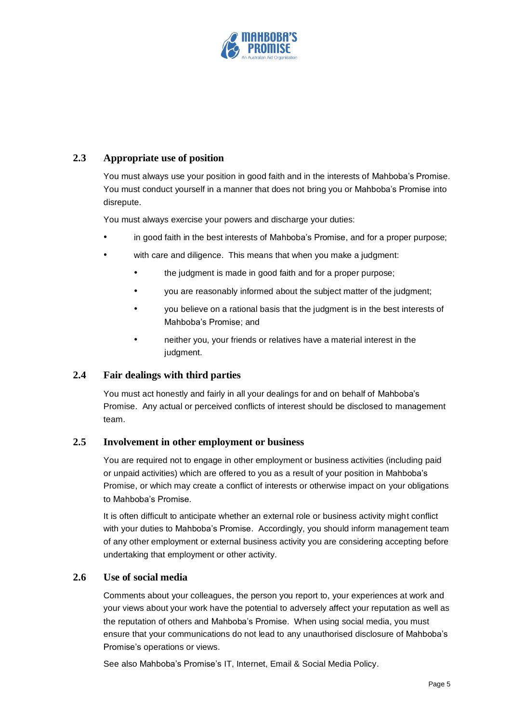

#### **2.3 Appropriate use of position**

You must always use your position in good faith and in the interests of Mahboba's Promise. You must conduct yourself in a manner that does not bring you or Mahboba's Promise into disrepute.

You must always exercise your powers and discharge your duties:

- in good faith in the best interests of Mahboba's Promise, and for a proper purpose;
- with care and diligence. This means that when you make a judgment:
	- the judgment is made in good faith and for a proper purpose;
	- you are reasonably informed about the subject matter of the judgment;
	- you believe on a rational basis that the judgment is in the best interests of Mahboba's Promise; and
	- neither you, your friends or relatives have a material interest in the judgment.

#### **2.4 Fair dealings with third parties**

You must act honestly and fairly in all your dealings for and on behalf of Mahboba's Promise. Any actual or perceived conflicts of interest should be disclosed to management team.

#### **2.5 Involvement in other employment or business**

You are required not to engage in other employment or business activities (including paid or unpaid activities) which are offered to you as a result of your position in Mahboba's Promise, or which may create a conflict of interests or otherwise impact on your obligations to Mahboba's Promise.

It is often difficult to anticipate whether an external role or business activity might conflict with your duties to Mahboba's Promise. Accordingly, you should inform management team of any other employment or external business activity you are considering accepting before undertaking that employment or other activity.

### **2.6 Use of social media**

Comments about your colleagues, the person you report to, your experiences at work and your views about your work have the potential to adversely affect your reputation as well as the reputation of others and Mahboba's Promise. When using social media, you must ensure that your communications do not lead to any unauthorised disclosure of Mahboba's Promise's operations or views.

See also Mahboba's Promise's IT, Internet, Email & Social Media Policy.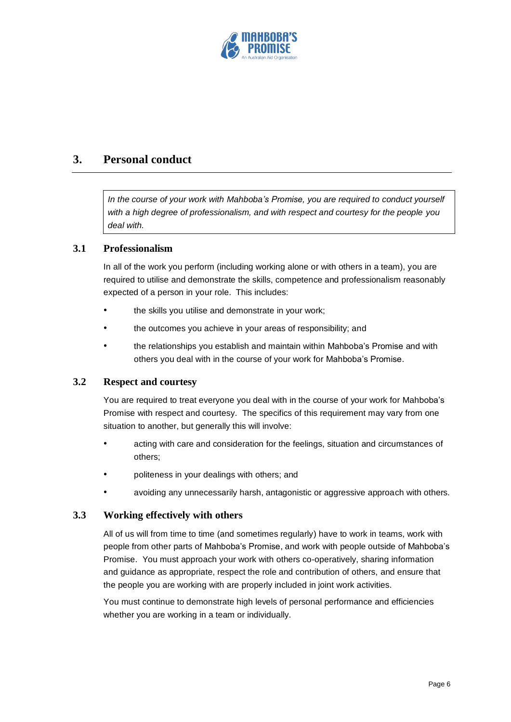

## **3. Personal conduct**

*In the course of your work with Mahboba's Promise, you are required to conduct yourself with a high degree of professionalism, and with respect and courtesy for the people you deal with.* 

#### **3.1 Professionalism**

In all of the work you perform (including working alone or with others in a team), you are required to utilise and demonstrate the skills, competence and professionalism reasonably expected of a person in your role. This includes:

- the skills you utilise and demonstrate in your work:
- the outcomes you achieve in your areas of responsibility; and
- the relationships you establish and maintain within Mahboba's Promise and with others you deal with in the course of your work for Mahboba's Promise.

#### **3.2 Respect and courtesy**

You are required to treat everyone you deal with in the course of your work for Mahboba's Promise with respect and courtesy. The specifics of this requirement may vary from one situation to another, but generally this will involve:

- acting with care and consideration for the feelings, situation and circumstances of others;
- politeness in your dealings with others; and
- avoiding any unnecessarily harsh, antagonistic or aggressive approach with others.

#### **3.3 Working effectively with others**

All of us will from time to time (and sometimes regularly) have to work in teams, work with people from other parts of Mahboba's Promise, and work with people outside of Mahboba's Promise. You must approach your work with others co-operatively, sharing information and guidance as appropriate, respect the role and contribution of others, and ensure that the people you are working with are properly included in joint work activities.

You must continue to demonstrate high levels of personal performance and efficiencies whether you are working in a team or individually.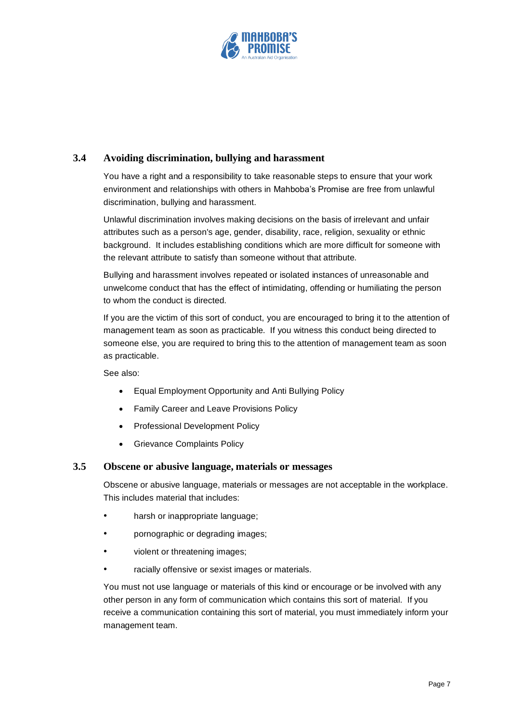

#### **3.4 Avoiding discrimination, bullying and harassment**

You have a right and a responsibility to take reasonable steps to ensure that your work environment and relationships with others in Mahboba's Promise are free from unlawful discrimination, bullying and harassment.

Unlawful discrimination involves making decisions on the basis of irrelevant and unfair attributes such as a person's age, gender, disability, race, religion, sexuality or ethnic background. It includes establishing conditions which are more difficult for someone with the relevant attribute to satisfy than someone without that attribute.

Bullying and harassment involves repeated or isolated instances of unreasonable and unwelcome conduct that has the effect of intimidating, offending or humiliating the person to whom the conduct is directed.

If you are the victim of this sort of conduct, you are encouraged to bring it to the attention of management team as soon as practicable. If you witness this conduct being directed to someone else, you are required to bring this to the attention of management team as soon as practicable.

See also:

- Equal Employment Opportunity and Anti Bullying Policy
- Family Career and Leave Provisions Policy
- Professional Development Policy
- Grievance Complaints Policy

#### **3.5 Obscene or abusive language, materials or messages**

Obscene or abusive language, materials or messages are not acceptable in the workplace. This includes material that includes:

- harsh or inappropriate language;
- pornographic or degrading images;
- violent or threatening images;
- racially offensive or sexist images or materials.

You must not use language or materials of this kind or encourage or be involved with any other person in any form of communication which contains this sort of material. If you receive a communication containing this sort of material, you must immediately inform your management team.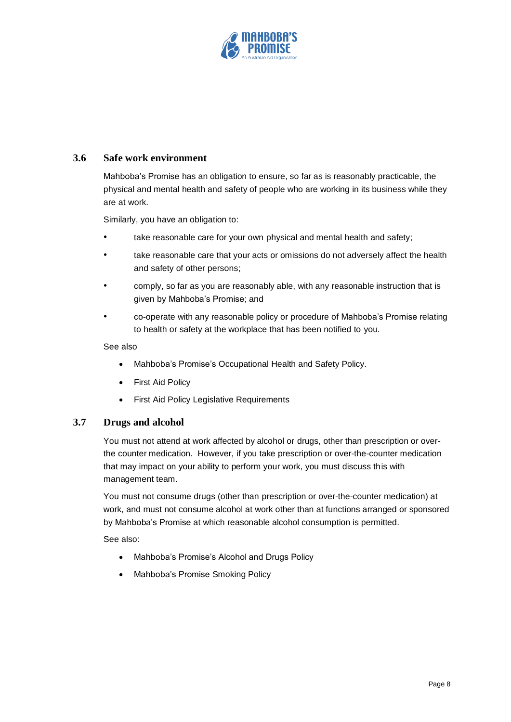

#### **3.6 Safe work environment**

Mahboba's Promise has an obligation to ensure, so far as is reasonably practicable, the physical and mental health and safety of people who are working in its business while they are at work.

Similarly, you have an obligation to:

- take reasonable care for your own physical and mental health and safety;
- take reasonable care that your acts or omissions do not adversely affect the health and safety of other persons;
- comply, so far as you are reasonably able, with any reasonable instruction that is given by Mahboba's Promise; and
- co-operate with any reasonable policy or procedure of Mahboba's Promise relating to health or safety at the workplace that has been notified to you.

#### See also

- Mahboba's Promise's Occupational Health and Safety Policy.
- First Aid Policy
- First Aid Policy Legislative Requirements

#### **3.7 Drugs and alcohol**

You must not attend at work affected by alcohol or drugs, other than prescription or overthe counter medication. However, if you take prescription or over-the-counter medication that may impact on your ability to perform your work, you must discuss this with management team.

You must not consume drugs (other than prescription or over-the-counter medication) at work, and must not consume alcohol at work other than at functions arranged or sponsored by Mahboba's Promise at which reasonable alcohol consumption is permitted.

See also:

- Mahboba's Promise's Alcohol and Drugs Policy
- Mahboba's Promise Smoking Policy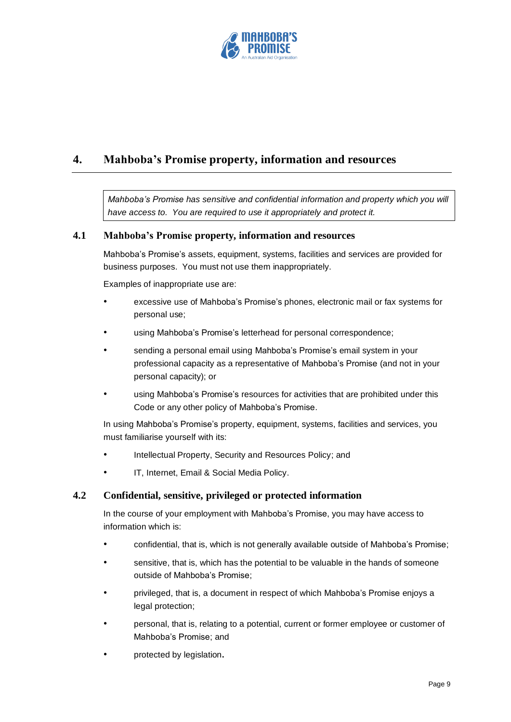

## **4. Mahboba's Promise property, information and resources**

*Mahboba's Promise has sensitive and confidential information and property which you will have access to. You are required to use it appropriately and protect it.* 

#### **4.1 Mahboba's Promise property, information and resources**

Mahboba's Promise's assets, equipment, systems, facilities and services are provided for business purposes. You must not use them inappropriately.

Examples of inappropriate use are:

- excessive use of Mahboba's Promise's phones, electronic mail or fax systems for personal use;
- using Mahboba's Promise's letterhead for personal correspondence;
- sending a personal email using Mahboba's Promise's email system in your professional capacity as a representative of Mahboba's Promise (and not in your personal capacity); or
- using Mahboba's Promise's resources for activities that are prohibited under this Code or any other policy of Mahboba's Promise.

In using Mahboba's Promise's property, equipment, systems, facilities and services, you must familiarise yourself with its:

- Intellectual Property, Security and Resources Policy; and
- IT, Internet, Email & Social Media Policy.

#### **4.2 Confidential, sensitive, privileged or protected information**

In the course of your employment with Mahboba's Promise, you may have access to information which is:

- confidential, that is, which is not generally available outside of Mahboba's Promise;
- sensitive, that is, which has the potential to be valuable in the hands of someone outside of Mahboba's Promise;
- privileged, that is, a document in respect of which Mahboba's Promise enjoys a legal protection;
- personal, that is, relating to a potential, current or former employee or customer of Mahboba's Promise; and
- protected by legislation**.**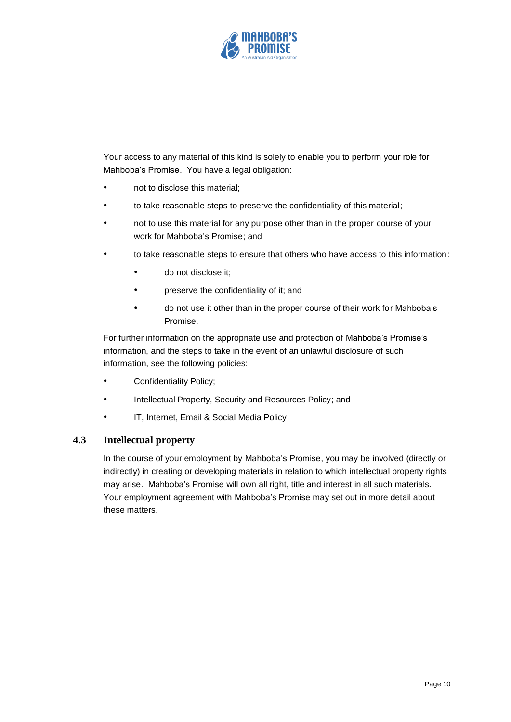

Your access to any material of this kind is solely to enable you to perform your role for Mahboba's Promise. You have a legal obligation:

- not to disclose this material;
- to take reasonable steps to preserve the confidentiality of this material;
- not to use this material for any purpose other than in the proper course of your work for Mahboba's Promise; and
- to take reasonable steps to ensure that others who have access to this information:
	- do not disclose it;
	- preserve the confidentiality of it; and
	- do not use it other than in the proper course of their work for Mahboba's Promise.

For further information on the appropriate use and protection of Mahboba's Promise's information, and the steps to take in the event of an unlawful disclosure of such information, see the following policies:

- Confidentiality Policy;
- Intellectual Property, Security and Resources Policy; and
- IT, Internet, Email & Social Media Policy

#### **4.3 Intellectual property**

In the course of your employment by Mahboba's Promise, you may be involved (directly or indirectly) in creating or developing materials in relation to which intellectual property rights may arise. Mahboba's Promise will own all right, title and interest in all such materials. Your employment agreement with Mahboba's Promise may set out in more detail about these matters.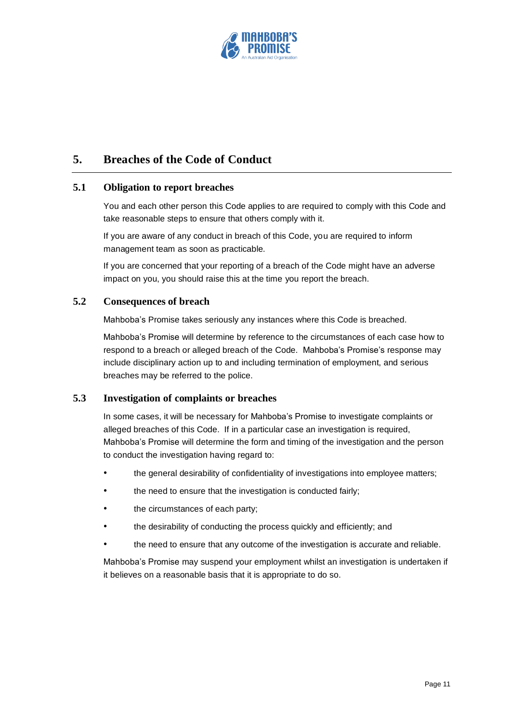

## **5. Breaches of the Code of Conduct**

#### **5.1 Obligation to report breaches**

You and each other person this Code applies to are required to comply with this Code and take reasonable steps to ensure that others comply with it.

If you are aware of any conduct in breach of this Code, you are required to inform management team as soon as practicable.

If you are concerned that your reporting of a breach of the Code might have an adverse impact on you, you should raise this at the time you report the breach.

#### **5.2 Consequences of breach**

Mahboba's Promise takes seriously any instances where this Code is breached.

Mahboba's Promise will determine by reference to the circumstances of each case how to respond to a breach or alleged breach of the Code. Mahboba's Promise's response may include disciplinary action up to and including termination of employment, and serious breaches may be referred to the police.

#### **5.3 Investigation of complaints or breaches**

In some cases, it will be necessary for Mahboba's Promise to investigate complaints or alleged breaches of this Code. If in a particular case an investigation is required, Mahboba's Promise will determine the form and timing of the investigation and the person to conduct the investigation having regard to:

- the general desirability of confidentiality of investigations into employee matters;
- the need to ensure that the investigation is conducted fairly;
- the circumstances of each party;
- the desirability of conducting the process quickly and efficiently; and
- the need to ensure that any outcome of the investigation is accurate and reliable.

Mahboba's Promise may suspend your employment whilst an investigation is undertaken if it believes on a reasonable basis that it is appropriate to do so.